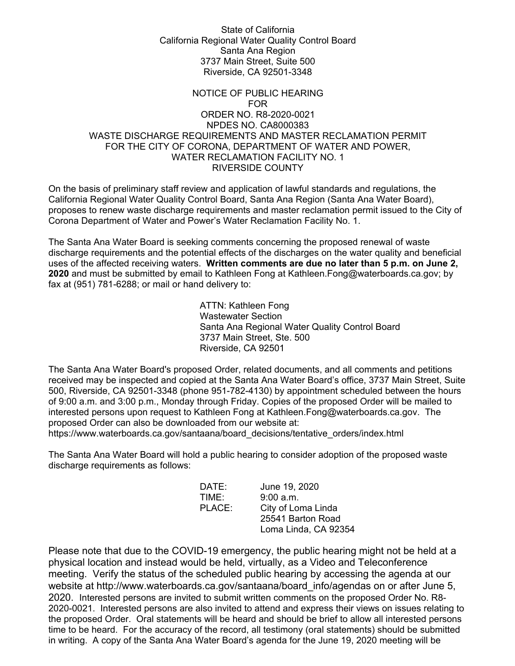## State of California California Regional Water Quality Control Board Santa Ana Region 3737 Main Street, Suite 500 Riverside, CA 92501-3348

## NOTICE OF PUBLIC HEARING FOR ORDER NO. R8-2020-0021 NPDES NO. CA8000383 WASTE DISCHARGE REQUIREMENTS AND MASTER RECLAMATION PERMIT FOR THE CITY OF CORONA, DEPARTMENT OF WATER AND POWER, WATER RECLAMATION FACILITY NO. 1 RIVERSIDE COUNTY

On the basis of preliminary staff review and application of lawful standards and regulations, the California Regional Water Quality Control Board, Santa Ana Region (Santa Ana Water Board), proposes to renew waste discharge requirements and master reclamation permit issued to the City of Corona Department of Water and Power's Water Reclamation Facility No. 1.

The Santa Ana Water Board is seeking comments concerning the proposed renewal of waste discharge requirements and the potential effects of the discharges on the water quality and beneficial uses of the affected receiving waters. **Written comments are due no later than 5 p.m. on June 2, 2020** and must be submitted by email to Kathleen Fong at Kathleen.Fon[g@waterboards.ca.gov;](mailto:Ryan.Harris@waterboards.ca.gov) by fax at (951) 781-6288; or mail or hand delivery to:

> ATTN: Kathleen Fong Wastewater Section Santa Ana Regional Water Quality Control Board 3737 Main Street, Ste. 500 Riverside, CA 92501

The Santa Ana Water Board's proposed Order, related documents, and all comments and petitions received may be inspected and copied at the Santa Ana Water Board's office, 3737 Main Street, Suite 500, Riverside, CA 92501-3348 (phone 951-782-4130) by appointment scheduled between the hours of 9:00 a.m. and 3:00 p.m., Monday through Friday. Copies of the proposed Order will be mailed to interested persons upon request to Kathleen Fong at [Kathleen.Fong@waterboards.ca.gov.](mailto:Kathleen.Fong@waterboards.ca.gov) The proposed Order can also be downloaded from our website at:

[https://www.waterboards.ca.gov/santaana/board\\_decisions/tentative\\_orders/index.html](https://www.waterboards.ca.gov/santaana/board_decisions/tentative_orders/index.html)

The Santa Ana Water Board will hold a public hearing to consider adoption of the proposed waste discharge requirements as follows:

| DATE:  | June 19, 2020        |
|--------|----------------------|
| TIME:  | 9:00 a.m.            |
| PLACE: | City of Loma Linda   |
|        | 25541 Barton Road    |
|        | Loma Linda, CA 92354 |

Please note that due to the COVID-19 emergency, the public hearing might not be held at a physical location and instead would be held, virtually, as a Video and Teleconference meeting. Verify the status of the scheduled public hearing by accessing the agenda at our website at http://www.waterboards.ca.gov/santaana/board info/agendas on or after June 5, 2020. Interested persons are invited to submit written comments on the proposed Order No. R8- 2020-0021. Interested persons are also invited to attend and express their views on issues relating to the proposed Order. Oral statements will be heard and should be brief to allow all interested persons time to be heard. For the accuracy of the record, all testimony (oral statements) should be submitted in writing. A copy of the Santa Ana Water Board's agenda for the June 19, 2020 meeting will be